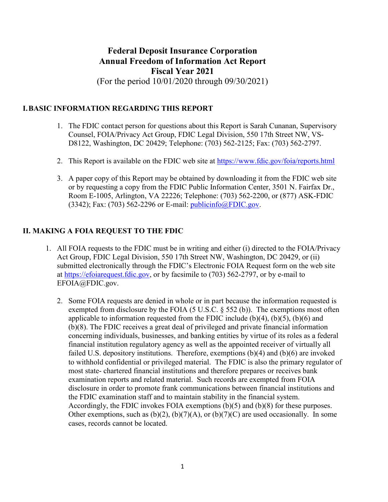# **Federal Deposit Insurance Corporation Annual Freedom of Information Act Report Fiscal Year 2021**  (For the period 10/01/2020 through 09/30/2021)

#### **I.BASIC INFORMATION REGARDING THIS REPORT**

- 1. The FDIC contact person for questions about this Report is Sarah Cunanan, Supervisory Counsel, FOIA/Privacy Act Group, FDIC Legal Division, 550 17th Street NW, VS-D8122, Washington, DC 20429; Telephone: (703) 562-2125; Fax: (703) 562-2797.
- 2. This Report is available on the FDIC web site at https://www.fdic.gov/foia/reports.html
- or by requesting a copy from the FDIC Public Information Center, 3501 N. Fairfax Dr., Room E-1005, Arlington, VA 22226; Telephone: (703) 562-2200, or (877) ASK-FDIC 3. A paper copy of this Report may be obtained by downloading it from the FDIC web site  $(3342)$ ; Fax:  $(703)$  562-2296 or E-mail: [publicinfo@FDIC.gov.](mailto:publicinfo@FDIC.gov)

#### **II. MAKING A FOIA REQUEST TO THE FDIC**

- 1. All FOIA requests to the FDIC must be in writing and either (i) directed to the FOIA/Privacy Act Group, FDIC Legal Division, 550 17th Street NW, Washington, DC 20429, or (ii) submitted electronically through the FDIC's Electronic FOIA Request form on the web site at [https://efoiarequest.fdic.gov,](https://efoiarequest.fdic.gov/) or by facsimile to (703) 562-2797, or by e-mail to [EFOIA@FDIC.gov.](mailto:EFOIA@FDIC.gov)
	- examination reports and related material. Such records are exempted from FOIA the FDIC examination staff and to maintain stability in the financial system. the FDIC examination staff and to maintain stability in the financial system. Accordingly, the FDIC invokes FOIA exemptions (b)(5) and (b)(8) for these purposes. 2. Some FOIA requests are denied in whole or in part because the information requested is exempted from disclosure by the FOIA (5 U.S.C. § 552 (b)). The exemptions most often applicable to information requested from the FDIC include  $(b)(4)$ ,  $(b)(5)$ ,  $(b)(6)$  and (b)(8). The FDIC receives a great deal of privileged and private financial information concerning individuals, businesses, and banking entities by virtue of its roles as a federal financial institution regulatory agency as well as the appointed receiver of virtually all failed U.S. depository institutions. Therefore, exemptions (b)(4) and (b)(6) are invoked to withhold confidential or privileged material. The FDIC is also the primary regulator of most state- chartered financial institutions and therefore prepares or receives bank disclosure in order to promote frank communications between financial institutions and Other exemptions, such as  $(b)(2)$ ,  $(b)(7)(A)$ , or  $(b)(7)(C)$  are used occasionally. In some cases, records cannot be located.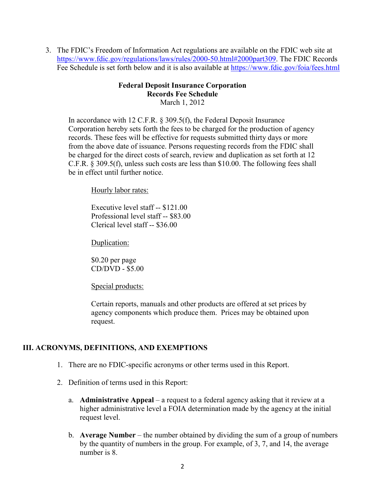3. The FDIC's Freedom of Information Act regulations are available on the FDIC web site at [https://www.fdic.gov/regulations/laws/rules/2000-50.html#2000part309.](https://www.fdic.gov/regulations/laws/rules/2000-50.html#2000part309) The FDIC Records Fee Schedule is set forth below and it is also available at https://www.fdic.gov/foia/fees.html

#### **Federal Deposit Insurance Corporation Records Fee Schedule**  March 1, 2012

 In accordance with 12 C.F.R. § 309.5(f), the Federal Deposit Insurance from the above date of issuance. Persons requesting records from the FDIC shall C.F.R. § 309.5(f), unless such costs are less than \$10.00. The following fees shall be in effect until further notice. Corporation hereby sets forth the fees to be charged for the production of agency records. These fees will be effective for requests submitted thirty days or more be charged for the direct costs of search, review and duplication as set forth at 12

Hourly labor rates:

 Executive level staff -- \$121.00 Professional level staff -- \$83.00 Clerical level staff -- \$36.00

Duplication:

 CD/DVD - \$5.00 \$0.20 per page

Special products:

Certain reports, manuals and other products are offered at set prices by agency components which produce them. Prices may be obtained upon request.

#### **III. ACRONYMS, DEFINITIONS, AND EXEMPTIONS**

- 1. There are no FDIC-specific acronyms or other terms used in this Report.
- 2. Definition of terms used in this Report:
	- a. **Administrative Appeal**  a request to a federal agency asking that it review at a higher administrative level a FOIA determination made by the agency at the initial request level.
	- b. **Average Number**  the number obtained by dividing the sum of a group of numbers by the quantity of numbers in the group. For example, of 3, 7, and 14, the average number is 8.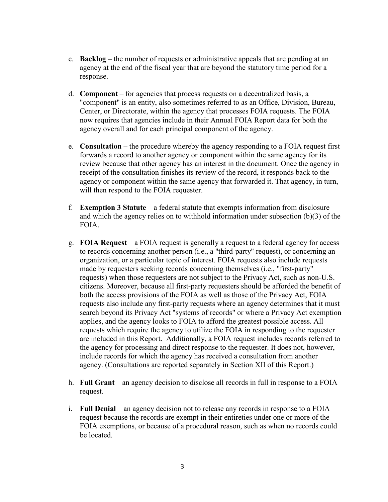- c. **Backlog**  the number of requests or administrative appeals that are pending at an agency at the end of the fiscal year that are beyond the statutory time period for a response.
- d. **Component**  for agencies that process requests on a decentralized basis, a "component" is an entity, also sometimes referred to as an Office, Division, Bureau, Center, or Directorate, within the agency that processes FOIA requests. The FOIA now requires that agencies include in their Annual FOIA Report data for both the agency overall and for each principal component of the agency.
- e. **Consultation**  the procedure whereby the agency responding to a FOIA request first forwards a record to another agency or component within the same agency for its will then respond to the FOIA requester. review because that other agency has an interest in the document. Once the agency in receipt of the consultation finishes its review of the record, it responds back to the agency or component within the same agency that forwarded it. That agency, in turn,
- f. **Exemption 3 Statute**  a federal statute that exempts information from disclosure and which the agency relies on to withhold information under subsection (b)(3) of the FOIA.
- g. **FOIA Request**  a FOIA request is generally a request to a federal agency for access organization, or a particular topic of interest. FOIA requests also include requests both the access provisions of the FOIA as well as those of the Privacy Act, FOIA are included in this Report. Additionally, a FOIA request includes records referred to to records concerning another person (i.e., a "third-party" request), or concerning an made by requesters seeking records concerning themselves (i.e., "first-party" requests) when those requesters are not subject to the Privacy Act, such as non-U.S. citizens. Moreover, because all first-party requesters should be afforded the benefit of requests also include any first-party requests where an agency determines that it must search beyond its Privacy Act "systems of records" or where a Privacy Act exemption applies, and the agency looks to FOIA to afford the greatest possible access. All requests which require the agency to utilize the FOIA in responding to the requester the agency for processing and direct response to the requester. It does not, however, include records for which the agency has received a consultation from another agency. (Consultations are reported separately in Section XII of this Report.)
- h. **Full Grant**  an agency decision to disclose all records in full in response to a FOIA request.
- request. i. **Full Denial**  an agency decision not to release any records in response to a FOIA request because the records are exempt in their entireties under one or more of the FOIA exemptions, or because of a procedural reason, such as when no records could be located.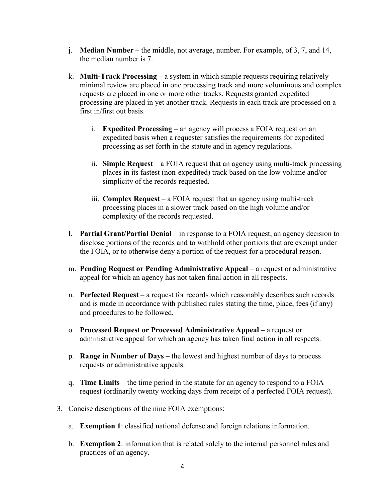- j. **Median Number**  the middle, not average, number. For example, of 3, 7, and 14, the median number is 7.
- k. **Multi-Track Processing**  a system in which simple requests requiring relatively processing are placed in yet another track. Requests in each track are processed on a minimal review are placed in one processing track and more voluminous and complex requests are placed in one or more other tracks. Requests granted expedited first in/first out basis.
	- i. **Expedited Processing**  an agency will process a FOIA request on an processing as set forth in the statute and in agency regulations. expedited basis when a requester satisfies the requirements for expedited
	- ii. **Simple Request**  a FOIA request that an agency using multi-track processing simplicity of the records requested. places in its fastest (non-expedited) track based on the low volume and/or
	- iii. **Complex Request**  a FOIA request that an agency using multi-track processing places in a slower track based on the high volume and/or complexity of the records requested.
- l. **Partial Grant/Partial Denial**  in response to a FOIA request, an agency decision to the FOIA, or to otherwise deny a portion of the request for a procedural reason. disclose portions of the records and to withhold other portions that are exempt under
- the FOIA, or to otherwise deny a portion of the request for a procedural reason. m. **Pending Request or Pending Administrative Appeal**  a request or administrative appeal for which an agency has not taken final action in all respects.
- n. **Perfected Request**  a request for records which reasonably describes such records and procedures to be followed. and is made in accordance with published rules stating the time, place, fees (if any)
- o. **Processed Request or Processed Administrative Appeal**  a request or administrative appeal for which an agency has taken final action in all respects.
- p. **Range in Number of Days**  the lowest and highest number of days to process requests or administrative appeals.
- q. **Time Limits**  the time period in the statute for an agency to respond to a FOIA request (ordinarily twenty working days from receipt of a perfected FOIA request).
- 3. Concise descriptions of the nine FOIA exemptions:
	- a. **Exemption 1**: classified national defense and foreign relations information.
	- b. **Exemption 2**: information that is related solely to the internal personnel rules and practices of an agency.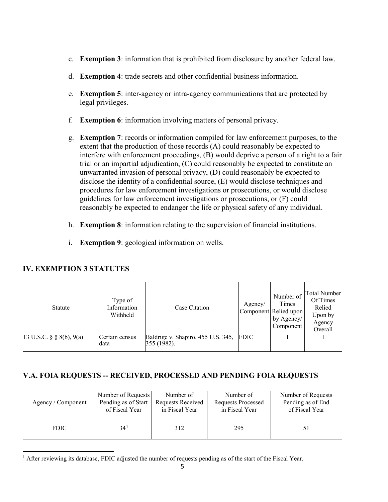- c. **Exemption 3**: information that is prohibited from disclosure by another federal law.
- d. **Exemption 4**: trade secrets and other confidential business information.
- e. **Exemption 5**: inter-agency or intra-agency communications that are protected by legal privileges.
- f. **Exemption 6**: information involving matters of personal privacy.
- disclose the identity of a confidential source, (E) would disclose techniques and g. **Exemption 7**: records or information compiled for law enforcement purposes, to the extent that the production of those records (A) could reasonably be expected to interfere with enforcement proceedings, (B) would deprive a person of a right to a fair trial or an impartial adjudication, (C) could reasonably be expected to constitute an unwarranted invasion of personal privacy, (D) could reasonably be expected to procedures for law enforcement investigations or prosecutions, or would disclose guidelines for law enforcement investigations or prosecutions, or (F) could reasonably be expected to endanger the life or physical safety of any individual.
- h. **Exemption 8**: information relating to the supervision of financial institutions.
- i. **Exemption 9**: geological information on wells.

| Statute                             | Type of<br>Information<br>Withheld | Case Citation                                          | Agency/ | Number of<br>Times<br>Component Relied upon<br>by Agency/<br>Component | <b>Total Number</b><br>Of Times<br>Relied<br>Upon by<br>Agency<br>Overall |
|-------------------------------------|------------------------------------|--------------------------------------------------------|---------|------------------------------------------------------------------------|---------------------------------------------------------------------------|
| 13 U.S.C. $\S$ $\S$ $8(b)$ , $9(a)$ | Certain census<br>data             | Baldrige v. Shapiro, 455 U.S. 345, FDIC<br>355 (1982). |         |                                                                        |                                                                           |

### **IV. EXEMPTION 3 STATUTES**

 $\overline{\phantom{a}}$ 

### **V.A. FOIA REQUESTS -- RECEIVED, PROCESSED AND PENDING FOIA REQUESTS**

| Agency / Component | Number of Requests  | Number of         | Number of                 | Number of Requests |
|--------------------|---------------------|-------------------|---------------------------|--------------------|
|                    | Pending as of Start | Requests Received | <b>Requests Processed</b> | Pending as of End  |
|                    | of Fiscal Year      | in Fiscal Year    | in Fiscal Year            | of Fiscal Year     |
| <b>FDIC</b>        | 34 <sup>1</sup>     | 312               | 295                       |                    |

<span id="page-4-0"></span><sup>&</sup>lt;sup>1</sup> After reviewing its database, FDIC adjusted the number of requests pending as of the start of the Fiscal Year.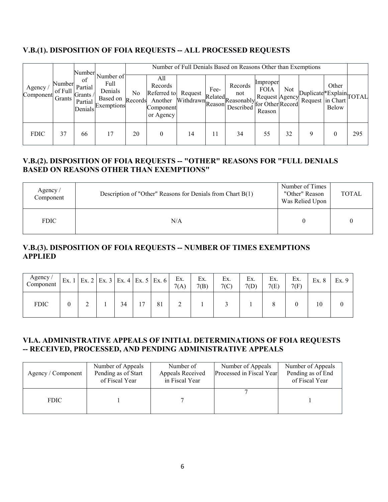# **V.B.(1). DISPOSITION OF FOIA REQUESTS -- ALL PROCESSED REQUESTS**

|                        |                             | Number .                                        |                                                        |               |                                                                                             |    |      | Number of Full Denials Based on Reasons Other than Exemptions  |                                   |     |                                             |                |     |
|------------------------|-----------------------------|-------------------------------------------------|--------------------------------------------------------|---------------|---------------------------------------------------------------------------------------------|----|------|----------------------------------------------------------------|-----------------------------------|-----|---------------------------------------------|----------------|-----|
| Agency.<br>Component ` | Number<br>of Full<br>Grants | of<br>Partial<br>Grants /<br>Partial<br>Denials | Number of<br>Full<br>Denials<br>Based on<br>Exemptions | No<br>Records | All<br>Records<br>Referred to Request<br>Another Withdrawn Reason<br>Component<br>or Agency |    | Fee- | Records<br>not<br>awn<br>Reasonably Avenue Record<br>Described | Improper<br><b>FOIA</b><br>Reason | Not | Duplicate Explain<br>Request in Chart TOTAL | Other<br>Below |     |
| <b>FDIC</b>            | 37                          | 66                                              |                                                        | 20            | 0                                                                                           | 14 |      | 34                                                             | 55                                | 32  | 9                                           |                | 295 |

### **V.B.(2). DISPOSITION OF FOIA REQUESTS -- "OTHER" REASONS FOR "FULL DENIALS BASED ON REASONS OTHER THAN EXEMPTIONS"**

| Agency $\sqrt{ }$<br>Component | Description of "Other" Reasons for Denials from Chart B(1) | Number of Times<br>"Other" Reason<br>Was Relied Upon | <b>TOTAL</b> |
|--------------------------------|------------------------------------------------------------|------------------------------------------------------|--------------|
| <b>FDIC</b>                    | N/A                                                        |                                                      |              |

### **V.B.(3). DISPOSITION OF FOIA REQUESTS -- NUMBER OF TIMES EXEMPTIONS APPLIED**

| Agency/<br>Component | Ex.1             |  |    | Ex. 2   Ex. 3   Ex. 4   Ex. 5   Ex. 6 | Ex.<br>7(A) | Ex.<br>7(B) | Ex.<br>7(C) | Ex.<br>7(D) | Ex.<br>7(E) | Ex.<br>7(F) | Ex. 8 | Ex. 9 |
|----------------------|------------------|--|----|---------------------------------------|-------------|-------------|-------------|-------------|-------------|-------------|-------|-------|
| <b>FDIC</b>          | $\boldsymbol{0}$ |  | 34 | 81                                    | $\sim$<br>∽ |             |             |             |             |             | 10    |       |

### **VI.A. ADMINISTRATIVE APPEALS OF INITIAL DETERMINATIONS OF FOIA REQUESTS -- RECEIVED, PROCESSED, AND PENDING ADMINISTRATIVE APPEALS**

| Agency / Component | Number of Appeals<br>Pending as of Start<br>of Fiscal Year | Number of<br>Appeals Received<br>in Fiscal Year | Number of Appeals<br>Processed in Fiscal Year | Number of Appeals<br>Pending as of End<br>of Fiscal Year |
|--------------------|------------------------------------------------------------|-------------------------------------------------|-----------------------------------------------|----------------------------------------------------------|
| <b>FDIC</b>        |                                                            |                                                 |                                               |                                                          |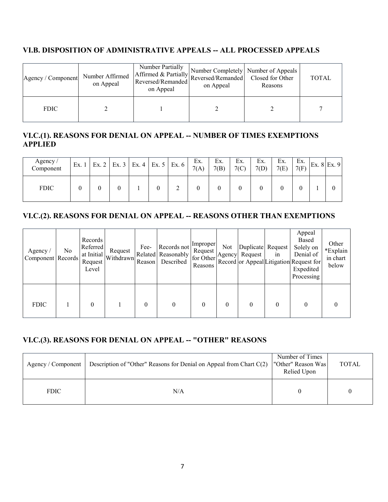#### **VI.B. DISPOSITION OF ADMINISTRATIVE APPEALS -- ALL PROCESSED APPEALS**

| Agency / Component | Number Affirmed<br>on Appeal | Number Partially<br>1 Affirmed & Partially Number Completely Number of Appeals<br>Reversed/Remanded Reversed/Remanded Closed for Other<br>on Appeal | on Appeal | Reasons | <b>TOTAL</b> |
|--------------------|------------------------------|-----------------------------------------------------------------------------------------------------------------------------------------------------|-----------|---------|--------------|
| <b>FDIC</b>        |                              |                                                                                                                                                     |           |         |              |

# **VI.C.(1). REASONS FOR DENIAL ON APPEAL -- NUMBER OF TIMES EXEMPTIONS APPLIED**

| Agency/<br>Component | Ex.1 | Ex. 2   Ex. 3   Ex. 4 | Ex. 5 | Ex. 6 | Ex.<br>7(A) | Ex.<br>7(B) | Ex.<br>7(C) | Ex.<br>7(D) | Ex.<br>7(E) | Ex.<br>7(F) | Ex. $8$ Ex. $9$ |
|----------------------|------|-----------------------|-------|-------|-------------|-------------|-------------|-------------|-------------|-------------|-----------------|
| <b>FDIC</b>          |      |                       |       | ∸     |             |             |             |             |             |             |                 |

# **VI.C.(2). REASONS FOR DENIAL ON APPEAL -- REASONS OTHER THAN EXEMPTIONS**

| Agency $/$<br>Component Records | No | Records<br>Referred<br>Request<br>Level | Request<br>$\int$ at Initial $\left $ Withdrawn | Fee-<br>Reason | Records not<br>Related Reasonably<br>Described | Improper<br>Request<br>for Other<br>Reasons | <b>Not</b> | Duplicate Request<br>Agency Request | in       | Appeal<br>Based<br>Solely on<br>Denial of<br>Record or Appeal Litigation Request for<br>Expedited<br>Processing | Other<br>*Explain<br>in chart<br>below |
|---------------------------------|----|-----------------------------------------|-------------------------------------------------|----------------|------------------------------------------------|---------------------------------------------|------------|-------------------------------------|----------|-----------------------------------------------------------------------------------------------------------------|----------------------------------------|
| <b>FDIC</b>                     |    |                                         |                                                 | 0              |                                                | 0                                           | $\theta$   | $\Omega$                            | $\Omega$ |                                                                                                                 | 0                                      |

# **VI.C.(3). REASONS FOR DENIAL ON APPEAL -- "OTHER" REASONS**

| Agency / Component | Description of "Other" Reasons for Denial on Appeal from Chart $C(2)$ | Number of Times<br>"Other" Reason Was<br>Relied Upon | <b>TOTAL</b> |
|--------------------|-----------------------------------------------------------------------|------------------------------------------------------|--------------|
| <b>FDIC</b>        | N/A                                                                   |                                                      |              |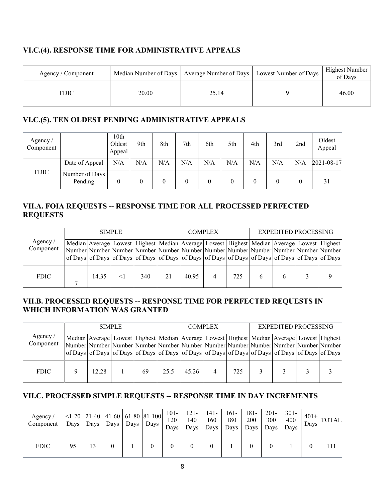### **VI.C.(4). RESPONSE TIME FOR ADMINISTRATIVE APPEALS**

| Agency / Component |       | Median Number of Days   Average Number of Days   Lowest Number of Days | <b>Highest Number</b><br>of Davs |
|--------------------|-------|------------------------------------------------------------------------|----------------------------------|
| <b>FDIC</b>        | 20.00 | 25.14                                                                  | 46.00                            |

### **VI.C.(5). TEN OLDEST PENDING ADMINISTRATIVE APPEALS**

| Agency/<br>Component |                           | 10 <sub>th</sub><br>Oldest<br>Appeal | 9th | 8th | 7th | 6th | 5th | 4th      | 3rd | 2nd | Oldest<br>Appeal |
|----------------------|---------------------------|--------------------------------------|-----|-----|-----|-----|-----|----------|-----|-----|------------------|
|                      | Date of Appeal            | N/A                                  | N/A | N/A | N/A | N/A | N/A | N/A      | N/A | N/A | 2021-08-17       |
| <b>FDIC</b>          | Number of Days<br>Pending | $\boldsymbol{0}$                     |     | 0   | 0   | 0   |     | $\theta$ |     |     | 31               |

### **VII.A. FOIA REQUESTS -- RESPONSE TIME FOR ALL PROCESSED PERFECTED REQUESTS**

|                                | <b>SIMPLE</b>                                                                                                                                                                           |       |  |     |    | <b>COMPLEX</b> |  |     |  | <b>EXPEDITED PROCESSING</b> |                                                                                                                 |  |  |
|--------------------------------|-----------------------------------------------------------------------------------------------------------------------------------------------------------------------------------------|-------|--|-----|----|----------------|--|-----|--|-----------------------------|-----------------------------------------------------------------------------------------------------------------|--|--|
| Agency $\sqrt{ }$<br>Component | Median Average Lowest Highest Median Average Lowest Highest Median Average Lowest Highest<br>Number Number Number Number Number Number Number Number Number Number Number Number Number |       |  |     |    |                |  |     |  |                             | of Days of Days of Days of Days of Days of Days of Days of Days of Days of Days of Days of Days of Days of Days |  |  |
| <b>FDIC</b>                    |                                                                                                                                                                                         | 14.35 |  | 340 | 21 | 40.95          |  | 725 |  |                             |                                                                                                                 |  |  |

### **VII.B. PROCESSED REQUESTS -- RESPONSE TIME FOR PERFECTED REQUESTS IN WHICH INFORMATION WAS GRANTED**

|                      | <b>SIMPLE</b> |       |  |    | <b>COMPLEX</b> |                                                                                                                                                                                                                                                                                                                                |  |     | <b>EXPEDITED PROCESSING</b> |  |  |  |
|----------------------|---------------|-------|--|----|----------------|--------------------------------------------------------------------------------------------------------------------------------------------------------------------------------------------------------------------------------------------------------------------------------------------------------------------------------|--|-----|-----------------------------|--|--|--|
| Agency/<br>Component |               |       |  |    |                | Median Average Lowest   Highest   Median   Average   Lowest   Highest   Median   Average   Lowest   Highest  <br>Number Number Number Number Number Number Number Number Number Number Number Number Number<br>of Days of Days of Days of Days of Days of Days of Days of Days of Days of Days of Days of Days of Days of Days |  |     |                             |  |  |  |
| <b>FDIC</b>          |               | 12.28 |  | 69 | 25.5           | 45.26                                                                                                                                                                                                                                                                                                                          |  | 725 |                             |  |  |  |

### **VII.C. PROCESSED SIMPLE REQUESTS -- RESPONSE TIME IN DAY INCREMENTS**

| Agency/<br>Component |    | Days   Days   Days   Days   Days |  | $\vert$ <1-20   21-40   41-60   61-80   81-100 | 101-<br>120<br>Days | $121 -$<br>140<br>Days | $141-$<br>160 | $161 -$<br>180<br>Days Days I | 181-<br>200<br>Days | $201 -$<br>300<br>Days | $301 -$<br>400<br>Davs | $401 +$<br>Days | <b>TOTAL</b> |
|----------------------|----|----------------------------------|--|------------------------------------------------|---------------------|------------------------|---------------|-------------------------------|---------------------|------------------------|------------------------|-----------------|--------------|
| <b>FDIC</b>          | 95 | 13                               |  |                                                |                     |                        | 0             |                               |                     |                        |                        |                 |              |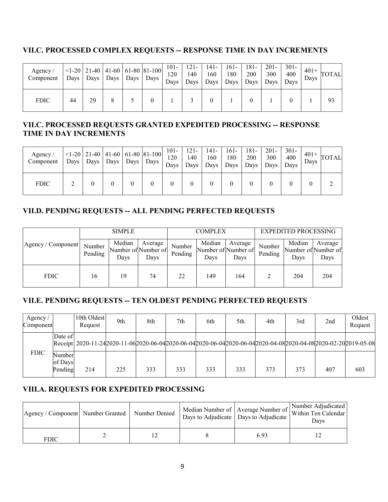# **VII.C. PROCESSED COMPLEX REQUESTS -- RESPONSE TIME IN DAY INCREMENTS**

| Agency/<br>Component | Days |    |  | $\vert$ <1-20   21-40   41-60   61-80   81-100  <br>  Days   Days   Days   Days | $101 -$<br>120<br>Days | 121-<br>140<br>Days | $141 -$<br>160<br>Days | 161-<br>180<br>Days Days | 181-<br>200 | $201 -$<br>300<br>Days | $301 -$<br>400<br>Davs | $401+$ ,<br>Days | <b>TOTAL</b> |
|----------------------|------|----|--|---------------------------------------------------------------------------------|------------------------|---------------------|------------------------|--------------------------|-------------|------------------------|------------------------|------------------|--------------|
| <b>FDIC</b>          | 44   | 29 |  |                                                                                 |                        |                     |                        |                          |             |                        |                        |                  | 93           |

### **VII.C. PROCESSED REQUESTS GRANTED EXPEDITED PROCESSING -- RESPONSE TIME IN DAY INCREMENTS**

| Agency $\sqrt{ }$<br>Component |  |  | $\vert$ <1-20   21-40   41-60   61-80   81-100  <br>  Days   Days   Days   Days   Days | $101 -$<br>120<br>Days | $121 -$<br>140<br>Days | $141 -$<br>160 | $161 -$<br>180<br>Days Days | $181 -$<br>200<br>Days | $201 -$<br>300<br>Days | $301 -$<br>400<br>Davs | Days | $^{401+}$ TOTAL |
|--------------------------------|--|--|----------------------------------------------------------------------------------------|------------------------|------------------------|----------------|-----------------------------|------------------------|------------------------|------------------------|------|-----------------|
| <b>FDIC</b>                    |  |  |                                                                                        |                        |                        | 0              |                             |                        |                        |                        |      |                 |

# **VII.D. PENDING REQUESTS -- ALL PENDING PERFECTED REQUESTS**

|                    | <b>SIMPLE</b>     |                |                                        |                   | <b>COMPLEX</b> |                                        | <b>EXPEDITED PROCESSING</b> |                                       |                 |  |
|--------------------|-------------------|----------------|----------------------------------------|-------------------|----------------|----------------------------------------|-----------------------------|---------------------------------------|-----------------|--|
| Agency / Component | Number<br>Pending | Median<br>Days | Average<br>Number of Number of<br>Days | Number<br>Pending | Median<br>Days | Average<br>Number of Number of<br>Days | Number<br>Pending           | Median<br>Number of Number of<br>Days | Average<br>Days |  |
| <b>FDIC</b>        | 16                | 19             | 74                                     | 22                | 149            | 164                                    |                             | 204                                   | 204             |  |

# **VII.E. PENDING REQUESTS -- TEN OLDEST PENDING PERFECTED REQUESTS**

| Agency.<br>Component |                              | 10th Oldest<br>Request                                                                                       | 9th | 8th | 7th | 6th | 5th | 4th | 3rd | 2 <sub>nd</sub> | Oldest<br>Request |
|----------------------|------------------------------|--------------------------------------------------------------------------------------------------------------|-----|-----|-----|-----|-----|-----|-----|-----------------|-------------------|
|                      | Date of                      | Receipt 2020-11-242020-11-062020-06-042020-06-042020-06-042020-06-042020-04-082020-04-082020-02-202019-05-08 |     |     |     |     |     |     |     |                 |                   |
| <b>FDIC</b>          | Number<br>of Days<br>Pending | 214                                                                                                          | 225 | 333 | 333 | 333 | 333 | 373 | 373 | 407             | 603               |

# **VIII.A. REQUESTS FOR EXPEDITED PROCESSING**

| Agency / Component Number Granted | Number Denied | Days to Adjudicate   Days to Adjudicate | Median Number of   Average Number of   Within Ten Calendar<br>Davs |
|-----------------------------------|---------------|-----------------------------------------|--------------------------------------------------------------------|
| FDIC                              |               | 6.93                                    |                                                                    |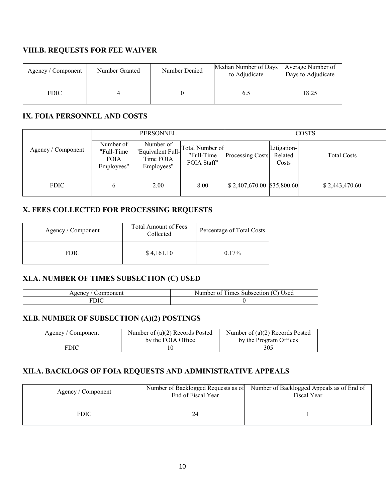# **VIII.B. REQUESTS FOR FEE WAIVER**

| Agency / Component | Number Granted | Number Denied | Median Number of Days<br>to Adjudicate | Average Number of<br>Days to Adjudicate |
|--------------------|----------------|---------------|----------------------------------------|-----------------------------------------|
| <b>FDIC</b>        |                |               | 6.:                                    | 18.25                                   |

### **IX. FOIA PERSONNEL AND COSTS**

|                    |                                                      | <b>PERSONNEL</b>                                          |                                              |                            |                                 | <b>COSTS</b>       |
|--------------------|------------------------------------------------------|-----------------------------------------------------------|----------------------------------------------|----------------------------|---------------------------------|--------------------|
| Agency / Component | Number of<br>"Full-Time<br><b>FOIA</b><br>Employees" | Number of<br>"Equivalent Full-<br>Time FOIA<br>Employees" | Total Number of<br>"Full-Time<br>FOIA Staff" | <b>Processing Costs</b>    | Litigation-<br>Related<br>Costs | <b>Total Costs</b> |
| <b>FDIC</b>        | 6                                                    | 2.00                                                      | 8.00                                         | \$2,407,670.00 \$35,800.60 |                                 | \$2,443,470.60     |

### **X. FEES COLLECTED FOR PROCESSING REQUESTS**

| Agency / Component | <b>Total Amount of Fees</b><br>Collected | Percentage of Total Costs |
|--------------------|------------------------------------------|---------------------------|
| <b>FDIC</b>        | \$4,161.10                               | $0.17\%$                  |

### **XI.A. NUMBER OF TIMES SUBSECTION (C) USED**

| $      -$<br>. venc | 12220<br>000<br>н<br>78X.<br>пe<br>ווור<br>ı ve<br>SU |
|---------------------|-------------------------------------------------------|
|                     |                                                       |

### **XI.B. NUMBER OF SUBSECTION (A)(2) POSTINGS**

| Agency / Component | Number of $(a)(2)$ Records Posted<br>by the FOIA Office | Number of $(a)(2)$ Records Posted<br>by the Program Offices |
|--------------------|---------------------------------------------------------|-------------------------------------------------------------|
| FDIC               |                                                         | 305                                                         |

# **XII.A. BACKLOGS OF FOIA REQUESTS AND ADMINISTRATIVE APPEALS**

| Agency / Component | Number of Backlogged Requests as of<br>End of Fiscal Year | Number of Backlogged Appeals as of End of<br>Fiscal Year |
|--------------------|-----------------------------------------------------------|----------------------------------------------------------|
| <b>FDIC</b>        |                                                           |                                                          |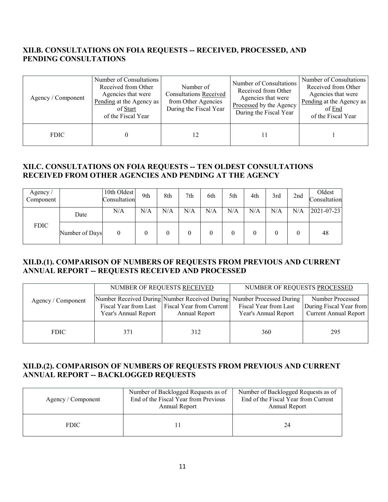### **XII.B. CONSULTATIONS ON FOIA REQUESTS -- RECEIVED, PROCESSED, AND PENDING CONSULTATIONS**

| Agency / Component | Number of Consultations<br>Received from Other<br>Agencies that were<br>Pending at the Agency as<br>of Start<br>of the Fiscal Year | Number of<br><b>Consultations Received</b><br>from Other Agencies<br>During the Fiscal Year | Number of Consultations<br>Received from Other<br>Agencies that were<br>Processed by the Agency<br>During the Fiscal Year | Number of Consultations<br>Received from Other<br>Agencies that were<br>Pending at the Agency as<br>of End<br>of the Fiscal Year |
|--------------------|------------------------------------------------------------------------------------------------------------------------------------|---------------------------------------------------------------------------------------------|---------------------------------------------------------------------------------------------------------------------------|----------------------------------------------------------------------------------------------------------------------------------|
| <b>FDIC</b>        |                                                                                                                                    |                                                                                             |                                                                                                                           |                                                                                                                                  |

#### **XII.C. CONSULTATIONS ON FOIA REQUESTS -- TEN OLDEST CONSULTATIONS RECEIVED FROM OTHER AGENCIES AND PENDING AT THE AGENCY**

| Agency/<br>Component |                | 10th Oldest<br>Consultation | 9th | 8th | 7th | 6th | 5th | 4th | 3rd | 2nd | Oldest<br>Consultation |
|----------------------|----------------|-----------------------------|-----|-----|-----|-----|-----|-----|-----|-----|------------------------|
|                      | Date           | N/A                         | N/A | N/A | N/A | N/A | N/A | N/A | N/A | N/A | 2021-07-23             |
| <b>FDIC</b>          | Number of Days | $\boldsymbol{0}$            |     |     |     |     |     |     |     | 0   | 48                     |

#### **XII.D.(1). COMPARISON OF NUMBERS OF REQUESTS FROM PREVIOUS AND CURRENT ANNUAL REPORT -- REQUESTS RECEIVED AND PROCESSED**

|                    |                      | NUMBER OF REQUESTS RECEIVED                                         | NUMBER OF REQUESTS PROCESSED                                                                                           |                                                                      |  |
|--------------------|----------------------|---------------------------------------------------------------------|------------------------------------------------------------------------------------------------------------------------|----------------------------------------------------------------------|--|
| Agency / Component | Year's Annual Report | Fiscal Year from Last   Fiscal Year from Current  <br>Annual Report | Number Received During Number Received During Number Processed During<br>Fiscal Year from Last<br>Year's Annual Report | Number Processed<br>During Fiscal Year from<br>Current Annual Report |  |
| <b>FDIC</b>        | 371                  | 312                                                                 | 360                                                                                                                    | 295                                                                  |  |

#### **XII.D.(2). COMPARISON OF NUMBERS OF REQUESTS FROM PREVIOUS AND CURRENT ANNUAL REPORT -- BACKLOGGED REQUESTS**

| Agency / Component | Number of Backlogged Requests as of<br>End of the Fiscal Year from Previous<br>Annual Report | Number of Backlogged Requests as of<br>End of the Fiscal Year from Current<br>Annual Report |  |  |
|--------------------|----------------------------------------------------------------------------------------------|---------------------------------------------------------------------------------------------|--|--|
| <b>FDIC</b>        |                                                                                              | 24                                                                                          |  |  |